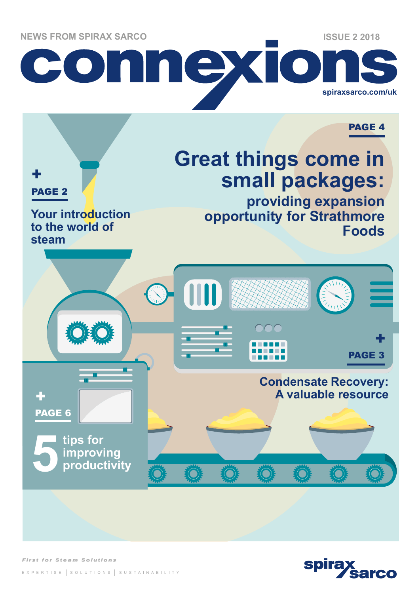**NEWS FROM SPIRAX SARCO ISSUE 2 2018** connexio **spiraxsarco.com/uk**

PAGE 4

## **Great things come in small packages:**

**providing expansion opportunity for Strathmore Foods**





**First for Steam Solutions** 

PAGE 2

+

**steam**

**Your introduction**

**to the world of** 

EXPERTISE SOLUTIONS SUSTAINABILITY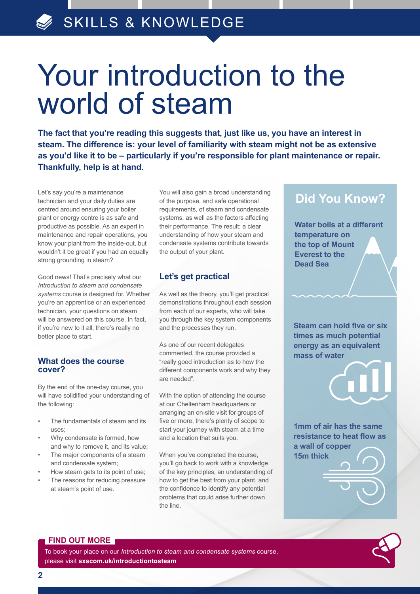# Your introduction to the world of steam

**The fact that you're reading this suggests that, just like us, you have an interest in steam. The difference is: your level of familiarity with steam might not be as extensive as you'd like it to be – particularly if you're responsible for plant maintenance or repair. Thankfully, help is at hand.**

Let's say you're a maintenance technician and your daily duties are centred around ensuring your boiler plant or energy centre is as safe and productive as possible. As an expert in maintenance and repair operations, you know your plant from the inside-out, but wouldn't it be great if you had an equally strong grounding in steam?

Good news! That's precisely what our *Introduction to steam and condensate systems* course is designed for. Whether you're an apprentice or an experienced technician, your questions on steam will be answered on this course. In fact, if you're new to it all, there's really no better place to start.

#### **What does the course cover?**

By the end of the one-day course, you will have solidified your understanding of the following:

- The fundamentals of steam and its uses;
- Why condensate is formed, how and why to remove it, and its value;
- The major components of a steam and condensate system;
- How steam gets to its point of use;
- The reasons for reducing pressure

at steam's point of use.

You will also gain a broad understanding of the purpose, and safe operational requirements, of steam and condensate systems, as well as the factors affecting their performance. The result: a clear understanding of how your steam and condensate systems contribute towards the output of your plant.

#### **Let's get practical**

As well as the theory, you'll get practical demonstrations throughout each session from each of our experts, who will take you through the key system components and the processes they run.

As one of our recent delegates commented, the course provided a "really good introduction as to how the different components work and why they are needed".

With the option of attending the course at our Cheltenham headquarters or arranging an on-site visit for groups of five or more, there's plenty of scope to start your journey with steam at a time and a location that suits you.

When you've completed the course, you'll go back to work with a knowledge of the key principles, an understanding of how to get the best from your plant, and the confidence to identify any potential problems that could arise further down the line.

### **Did You Know?**

**Water boils at a different temperature on the top of Mount Everest to the Dead Sea**

**Steam can hold five or six times as much potential energy as an equivalent mass of water**

**1mm of air has the same resistance to heat flow as a wall of copper 15m thick**

#### **FIND OUT MORE**

To book your place on our *Introduction to steam and condensate systems* course, please visit **sxscom.uk/introductiontosteam**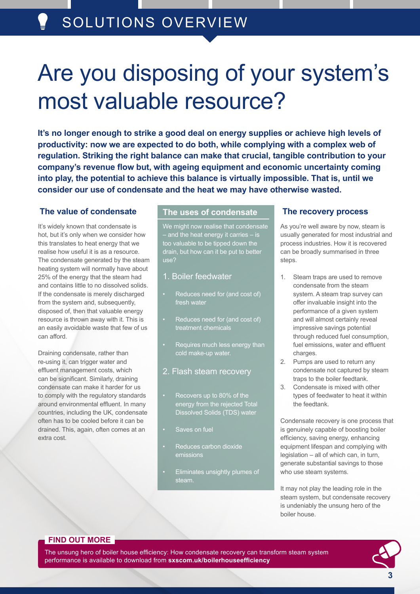## SOLUTIONS OVERVIEW

# Are you disposing of your system's most valuable resource?

**It's no longer enough to strike a good deal on energy supplies or achieve high levels of productivity: now we are expected to do both, while complying with a complex web of regulation. Striking the right balance can make that crucial, tangible contribution to your company's revenue flow but, with ageing equipment and economic uncertainty coming into play, the potential to achieve this balance is virtually impossible. That is, until we consider our use of condensate and the heat we may have otherwise wasted.**

#### **The value of condensate**

It's widely known that condensate is hot, but it's only when we consider how this translates to heat energy that we realise how useful it is as a resource. The condensate generated by the steam heating system will normally have about 25% of the energy that the steam had and contains little to no dissolved solids. If the condensate is merely discharged from the system and, subsequently, disposed of, then that valuable energy resource is thrown away with it. This is an easily avoidable waste that few of us can afford.

Draining condensate, rather than re-using it, can trigger water and effluent management costs, which can be significant. Similarly, draining condensate can make it harder for us to comply with the regulatory standards around environmental effluent. In many countries, including the UK, condensate often has to be cooled before it can be drained. This, again, often comes at an extra cost.

#### **The uses of condensate**

We might now realise that condensate – and the heat energy it carries – is too valuable to be tipped down the drain, but how can it be put to better use?

#### 1. Boiler feedwater

- Reduces need for (and cost of) fresh water
- Reduces need for (and cost of) treatment chemicals
- Requires much less energy than cold make-up water.

#### 2. Flash steam recovery

- Recovers up to 80% of the energy from the rejected Total Dissolved Solids (TDS) water
- Saves on fuel
- Reduces carbon dioxide emissions
- Eliminates unsightly plumes of steam.

#### **The recovery process**

As you're well aware by now, steam is usually generated for most industrial and process industries. How it is recovered can be broadly summarised in three steps.

- 1. Steam traps are used to remove condensate from the steam system. A steam trap survey can offer invaluable insight into the performance of a given system and will almost certainly reveal impressive savings potential through reduced fuel consumption, fuel emissions, water and effluent charges.
- 2. Pumps are used to return any condensate not captured by steam traps to the boiler feedtank.
- 3. Condensate is mixed with other types of feedwater to heat it within the feedtank.

Condensate recovery is one process that is genuinely capable of boosting boiler efficiency, saving energy, enhancing equipment lifespan and complying with legislation – all of which can, in turn, generate substantial savings to those who use steam systems.

It may not play the leading role in the steam system, but condensate recovery is undeniably the unsung hero of the boiler house.

#### **FIND OUT MORE**

The unsung hero of boiler house efficiency: How condensate recovery can transform steam system performance is available to download from **sxscom.uk/boilerhouseefficiency**

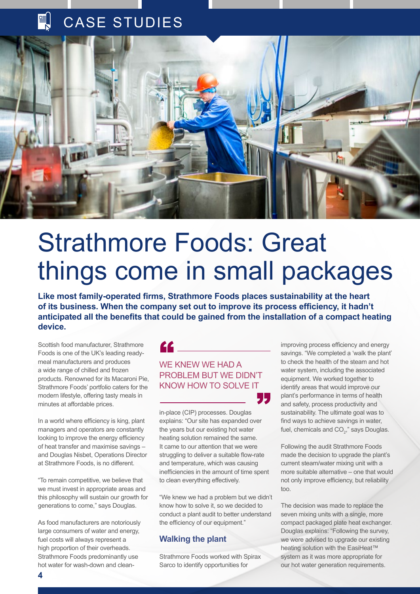## CASE STUDIES



# Strathmore Foods: Great things come in small packages

**Like most family-operated firms, Strathmore Foods places sustainability at the heart of its business. When the company set out to improve its process efficiency, it hadn't anticipated all the benefits that could be gained from the installation of a compact heating device.** 

Scottish food manufacturer, Strathmore Foods is one of the UK's leading readymeal manufacturers and produces a wide range of chilled and frozen products. Renowned for its Macaroni Pie, Strathmore Foods' portfolio caters for the modern lifestyle, offering tasty meals in minutes at affordable prices.

In a world where efficiency is king, plant managers and operators are constantly looking to improve the energy efficiency of heat transfer and maximise savings – and Douglas Nisbet, Operations Director at Strathmore Foods, is no different.

"To remain competitive, we believe that we must invest in appropriate areas and this philosophy will sustain our growth for generations to come," says Douglas.

As food manufacturers are notoriously large consumers of water and energy. fuel costs will always represent a high proportion of their overheads. Strathmore Foods predominantly use hot water for wash-down and clean-

## $c_{\mathcal{L}}$

### WE KNEW WE HAD A PROBLEM BUT WE DIDN'T KNOW HOW TO SOLVE IT -<br>77

in-place (CIP) processes. Douglas explains: "Our site has expanded over the years but our existing hot water heating solution remained the same. It came to our attention that we were struggling to deliver a suitable flow-rate and temperature, which was causing inefficiencies in the amount of time spent to clean everything effectively.

"We knew we had a problem but we didn't know how to solve it, so we decided to conduct a plant audit to better understand the efficiency of our equipment."

#### **Walking the plant**

Strathmore Foods worked with Spirax Sarco to identify opportunities for

improving process efficiency and energy savings. "We completed a 'walk the plant' to check the health of the steam and hot water system, including the associated equipment. We worked together to identify areas that would improve our plant's performance in terms of health and safety, process productivity and sustainability. The ultimate goal was to find ways to achieve savings in water, fuel, chemicals and  $CO<sub>2</sub>$ ," says Douglas.

Following the audit Strathmore Foods made the decision to upgrade the plant's current steam/water mixing unit with a more suitable alternative – one that would not only improve efficiency, but reliability too.

The decision was made to replace the seven mixing units with a single, more compact packaged plate heat exchanger. Douglas explains: "Following the survey, we were advised to upgrade our existing heating solution with the EasiHeat™ system as it was more appropriate for our hot water generation requirements.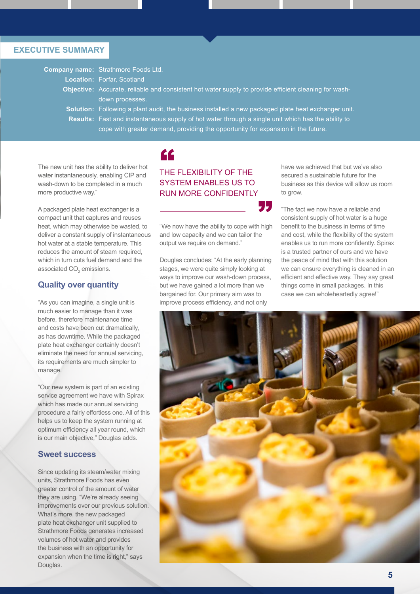#### **EXECUTIVE SUMMARY**

**Company name:** Strathmore Foods Ltd. **Location:**  Forfar, Scotland **Objective:** Accurate, reliable and consistent hot water supply to provide efficient cleaning for wash-**Solution:** Following a plant audit, the business installed a new packaged plate heat exchanger unit. **Results:** Fast and instantaneous supply of hot water through a single unit which has the ability to down processes. cope with greater demand, providing the opportunity for expansion in the future.

 $\alpha$ 

The new unit has the ability to deliver hot water instantaneously, enabling CIP and wash-down to be completed in a much more productive way."

A packaged plate heat exchanger is a compact unit that captures and reuses heat, which may otherwise be wasted, to deliver a constant supply of instantaneous hot water at a stable temperature. This reduces the amount of steam required, which in turn cuts fuel demand and the associated  $\mathsf{CO}_2$  emissions.

#### **Quality over quantity**

"As you can imagine, a single unit is much easier to manage than it was before, therefore maintenance time and costs have been cut dramatically, as has downtime. While the packaged plate heat exchanger certainly doesn't eliminate the need for annual servicing, its requirements are much simpler to manage.

"Our new system is part of an existing service agreement we have with Spirax which has made our annual servicing procedure a fairly effortless one. All of this helps us to keep the system running at optimum efficiency all year round, which is our main objective," Douglas adds.

#### **Sweet success**

Since updating its steam/water mixing units, Strathmore Foods has even greater control of the amount of water they are using. "We're already seeing improvements over our previous solution. What's more, the new packaged plate heat exchanger unit supplied to Strathmore Foods generates increased volumes of hot water and provides the business with an opportunity for expansion when the time is right," says Douglas.

### THE FLEXIBILITY OF THE SYSTEM ENABLES US TO RUN MORE CONFIDENTLY

"We now have the ability to cope with high and low capacity and we can tailor the output we require on demand."

**"** 

Douglas concludes: "At the early planning stages, we were quite simply looking at ways to improve our wash-down process, but we have gained a lot more than we bargained for. Our primary aim was to improve process efficiency, and not only

have we achieved that but we've also secured a sustainable future for the business as this device will allow us room to grow.

"The fact we now have a reliable and consistent supply of hot water is a huge benefit to the business in terms of time and cost, while the flexibility of the system enables us to run more confidently. Spirax is a trusted partner of ours and we have the peace of mind that with this solution we can ensure everything is cleaned in an efficient and effective way. They say great things come in small packages. In this case we can wholeheartedly agree!"

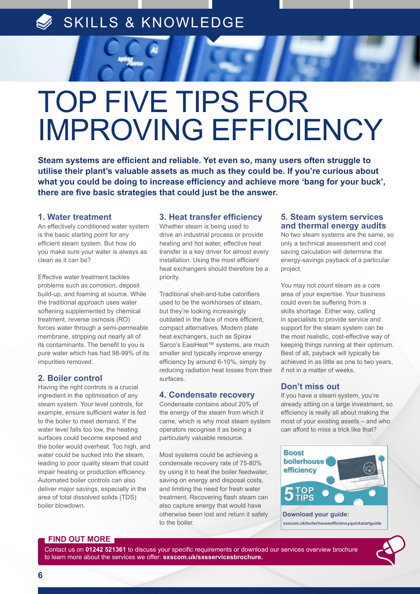## SKILLS & KNOWLEDGE

# TOP FIVE TIPS FOR IMPROVING EFFICIENCY

**Steam systems are efficient and reliable. Yet even so, many users often struggle to utilise their plant's valuable assets as much as they could be. If you're curious about what you could be doing to increase efficiency and achieve more 'bang for your buck', there are five basic strategies that could just be the answer.**

#### **1. Water treatment**

An effectively conditioned water system is the basic starting point for any efficient steam system. But how do you make sure your water is always as clean as it can be?

Effective water treatment tackles problems such as corrosion, deposit build-up, and foaming at source. While the traditional approach uses water softening supplemented by chemical treatment, reverse osmosis (RO) forces water through a semi-permeable membrane, stripping out nearly all of its contaminants. The benefit to you is pure water which has had 98-99% of its impurities removed.

#### **2. Boiler control**

Having the right controls is a crucial ingredient in the optimisation of any steam system. Your level controls, for example, ensure sufficient water is fed to the boiler to meet demand. If the water level falls too low, the heating surfaces could become exposed and the boiler would overheat. Too high, and water could be sucked into the steam, leading to poor quality steam that could impair heating or production efficiency. Automated boiler controls can also deliver major savings, especially in the area of total dissolved solids (TDS) boiler blowdown.

#### **3. Heat transfer efficiency**

Whether steam is being used to drive an industrial process or provide heating and hot water, effective heat transfer is a key driver for almost every installation. Using the most efficient heat exchangers should therefore be a priority.

Traditional shell-and-tube calorifiers used to be the workhorses of steam, but they're looking increasingly outdated in the face of more efficient, compact alternatives. Modern plate heat exchangers, such as Spirax Sarco's EasiHeat<sup>™</sup> systems, are much smaller and typically improve energy efficiency by around 6-10%, simply by reducing radiation heat losses from their surfaces.

#### **4. Condensate recovery**

Condensate contains about 20% of the energy of the steam from which it came, which is why most steam system operators recognise it as being a particularly valuable resource.

Most systems could be achieving a condensate recovery rate of 75-80% by using it to heat the boiler feedwater, saving on energy and disposal costs, and limiting the need for fresh water treatment. Recovering flash steam can also capture energy that would have otherwise been lost and return it safely to the boiler.

#### **5. Steam system services and thermal energy audits**

No two steam systems are the same, so only a technical assessment and cost saving calculation will determine the energy-savings payback of a particular project.

You may not count steam as a core area of your expertise. Your business could even be suffering from a skills shortage. Either way, calling in specialists to provide service and support for the steam system can be the most realistic, cost-effective way of keeping things running at their optimum. Best of all, payback will typically be achieved in as little as one to two years, if not in a matter of weeks.

#### **Don't miss out**

If you have a steam system, you're already sitting on a large investment, so efficiency is really all about making the most of your existing assets – and who can afford to miss a trick like that?



#### **FIND OUT MORE**

Contact us on **01242 521361** to discuss your specific requirements or download our services overview brochure to learn more about the services we offer: **sxscom.uk/sxsservicesbrochure.**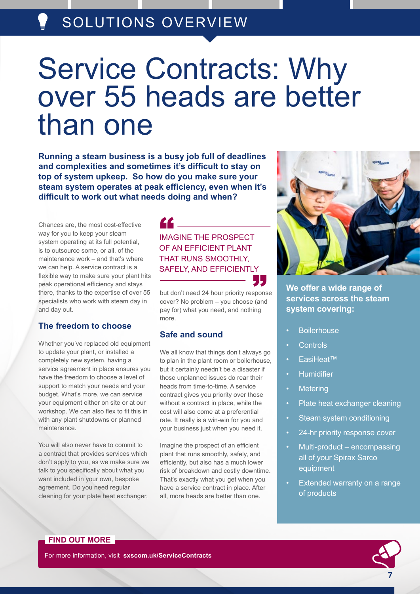## SOLUTIONS OVERVIEW

# Service Contracts: Why over 55 heads are better than one

**Running a steam business is a busy job full of deadlines and complexities and sometimes it's difficult to stay on top of system upkeep. So how do you make sure your steam system operates at peak efficiency, even when it's difficult to work out what needs doing and when?** 

Chances are, the most cost-effective way for you to keep your steam system operating at its full potential, is to outsource some, or all, of the maintenance work – and that's where we can help. A service contract is a flexible way to make sure your plant hits peak operational efficiency and stays there, thanks to the expertise of over 55 specialists who work with steam day in and day out.

#### **The freedom to choose**

Whether you've replaced old equipment to update your plant, or installed a completely new system, having a service agreement in place ensures you have the freedom to choose a level of support to match your needs and your budget. What's more, we can service your equipment either on site or at our workshop. We can also flex to fit this in with any plant shutdowns or planned maintenance.

You will also never have to commit to a contract that provides services which don't apply to you, as we make sure we talk to you specifically about what you want included in your own, bespoke agreement. Do you need regular cleaning for your plate heat exchanger,

## COMPRESSION CONTINUES OF AN FFFICIFNT PLANT THAT RUNS SMOOTHLY, SAFELY, AND EFFICIENTLY<br>————————————————————

but don't need 24 hour priority response cover? No problem – you choose (and pay for) what you need, and nothing more.

#### **Safe and sound**

We all know that things don't always go to plan in the plant room or boilerhouse, but it certainly needn't be a disaster if those unplanned issues do rear their heads from time-to-time. A service contract gives you priority over those without a contract in place, while the cost will also come at a preferential rate. It really is a win-win for you and your business just when you need it.

Imagine the prospect of an efficient plant that runs smoothly, safely, and efficiently, but also has a much lower risk of breakdown and costly downtime. That's exactly what you get when you have a service contract in place. After all, more heads are better than one.



**We offer a wide range of services across the steam system covering:**

- **Boilerhouse** 
	- **Controls**
- EasiHeat™
- **Humidifier**
- **Metering**
- Plate heat exchanger cleaning
- Steam system conditioning
- 24-hr priority response cover
- Multi-product encompassing all of your Spirax Sarco equipment
- Extended warranty on a range of products

#### **FIND OUT MORE**

For more information, visit **sxscom.uk/ServiceContracts**